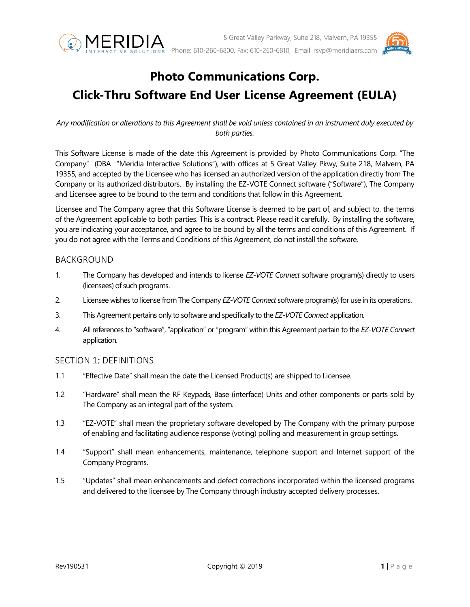

Phone: 610-260-6800, Fax: 610-260-6810, Email: rsvp@meridiaars.com



# **Photo Communications Corp. Click-Thru Software End User License Agreement (EULA)**

## *Any modification or alterations to this Agreement shall be void unless contained in an instrument duly executed by both parties.*

This Software License is made of the date this Agreement is provided by Photo Communications Corp. "The Company" (DBA "Meridia Interactive Solutions"), with offices at 5 Great Valley Pkwy, Suite 218, Malvern, PA 19355, and accepted by the Licensee who has licensed an authorized version of the application directly from The Company or its authorized distributors. By installing the EZ-VOTE Connect software ("Software"), The Company and Licensee agree to be bound to the term and conditions that follow in this Agreement.

Licensee and The Company agree that this Software License is deemed to be part of, and subject to, the terms of the Agreement applicable to both parties. This is a contract. Please read it carefully. By installing the software, you are indicating your acceptance, and agree to be bound by all the terms and conditions of this Agreement. If you do not agree with the Terms and Conditions of this Agreement, do not install the software.

## BACKGROUND

- 1. The Company has developed and intends to license *EZ-VOTE Connect* software program(s) directly to users (licensees) of such programs.
- 2. Licensee wishes to license from The Company *EZ-VOTE Connect* software program(s) for use in its operations.
- 3. This Agreement pertains only to software and specifically to the *EZ-VOTE Connect* application*.*
- 4. All references to "software","application" or "program" within this Agreement pertain to the *EZ-VOTE Connect*  application.

## SECTION 1: DEFINITIONS

- 1.1 "Effective Date" shall mean the date the Licensed Product(s) are shipped to Licensee.
- 1.2 "Hardware" shall mean the RF Keypads, Base (interface) Units and other components or parts sold by The Company as an integral part of the system.
- 1.3 "EZ-VOTE" shall mean the proprietary software developed by The Company with the primary purpose of enabling and facilitating audience response (voting) polling and measurement in group settings.
- 1.4 "Support" shall mean enhancements, maintenance, telephone support and Internet support of the Company Programs.
- 1.5 "Updates" shall mean enhancements and defect corrections incorporated within the licensed programs and delivered to the licensee by The Company through industry accepted delivery processes.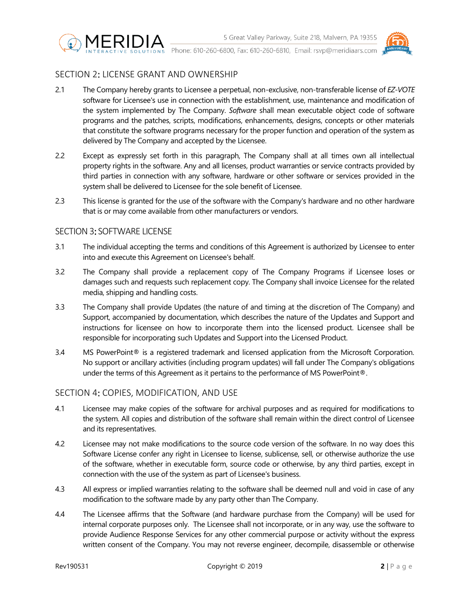

Phone: 610-260-6800, Fax: 610-260-6810, Email: rsvp@meridiaars.com



#### SECTION 2: LICENSE GRANT AND OWNERSHIP

- 2.1 The Company hereby grants to Licensee a perpetual, non-exclusive, non-transferable license of *EZ-VOTE*  software for Licensee's use in connection with the establishment, use, maintenance and modification of the system implemented by The Company. *Software* shall mean executable object code of software programs and the patches, scripts, modifications, enhancements, designs, concepts or other materials that constitute the software programs necessary for the proper function and operation of the system as delivered by The Company and accepted by the Licensee.
- 2.2 Except as expressly set forth in this paragraph, The Company shall at all times own all intellectual property rights in the software. Any and all licenses, product warranties or service contracts provided by third parties in connection with any software, hardware or other software or services provided in the system shall be delivered to Licensee for the sole benefit of Licensee.
- 2.3 This license is granted for the use of the software with the Company's hardware and no other hardware that is or may come available from other manufacturers or vendors.

#### SECTION 3: SOFTWARE LICENSE

- 3.1 The individual accepting the terms and conditions of this Agreement is authorized by Licensee to enter into and execute this Agreement on Licensee's behalf.
- 3.2 The Company shall provide a replacement copy of The Company Programs if Licensee loses or damages such and requests such replacement copy. The Company shall invoice Licensee for the related media, shipping and handling costs.
- 3.3 The Company shall provide Updates (the nature of and timing at the discretion of The Company) and Support, accompanied by documentation, which describes the nature of the Updates and Support and instructions for licensee on how to incorporate them into the licensed product. Licensee shall be responsible for incorporating such Updates and Support into the Licensed Product.
- 3.4 MS PowerPoint<sup>®</sup> is a registered trademark and licensed application from the Microsoft Corporation. No support or ancillary activities (including program updates) will fall under The Company's obligations under the terms of this Agreement as it pertains to the performance of MS PowerPoint®.

#### SECTION 4: COPIES, MODIFICATION, AND USE

- 4.1 Licensee may make copies of the software for archival purposes and as required for modifications to the system. All copies and distribution of the software shall remain within the direct control of Licensee and its representatives.
- 4.2 Licensee may not make modifications to the source code version of the software. In no way does this Software License confer any right in Licensee to license, sublicense, sell, or otherwise authorize the use of the software, whether in executable form, source code or otherwise, by any third parties, except in connection with the use of the system as part of Licensee's business.
- 4.3 All express or implied warranties relating to the software shall be deemed null and void in case of any modification to the software made by any party other than The Company.
- 4.4 The Licensee affirms that the Software (and hardware purchase from the Company) will be used for internal corporate purposes only. The Licensee shall not incorporate, or in any way, use the software to provide Audience Response Services for any other commercial purpose or activity without the express written consent of the Company. You may not reverse engineer, decompile, disassemble or otherwise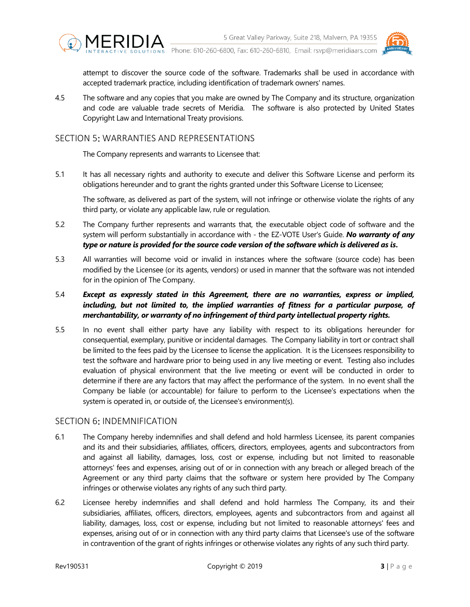

Phone: 610-260-6800, Fax: 610-260-6810, Email: rsvp@meridiaars.com



attempt to discover the source code of the software. Trademarks shall be used in accordance with accepted trademark practice, including identification of trademark owners' names.

4.5 The software and any copies that you make are owned by The Company and its structure, organization and code are valuable trade secrets of Meridia. The software is also protected by United States Copyright Law and International Treaty provisions.

#### SECTION 5: WARRANTIES AND REPRESENTATIONS

The Company represents and warrants to Licensee that:

5.1 It has all necessary rights and authority to execute and deliver this Software License and perform its obligations hereunder and to grant the rights granted under this Software License to Licensee;

The software, as delivered as part of the system, will not infringe or otherwise violate the rights of any third party, or violate any applicable law, rule or regulation.

- 5.2 The Company further represents and warrants that, the executable object code of software and the system will perform substantially in accordance with - the EZ-VOTE User's Guide. *No warranty of any type or nature is provided for the source code version of the software which is delivered as is***.**
- 5.3 All warranties will become void or invalid in instances where the software (source code) has been modified by the Licensee (or its agents, vendors) or used in manner that the software was not intended for in the opinion of The Company.

## 5.4 *Except as expressly stated in this Agreement, there are no warranties, express or implied, including, but not limited to, the implied warranties of fitness for a particular purpose, of merchantability, or warranty of no infringement of third party intellectual property rights.*

5.5 In no event shall either party have any liability with respect to its obligations hereunder for consequential, exemplary, punitive or incidental damages. The Company liability in tort or contract shall be limited to the fees paid by the Licensee to license the application. It is the Licensees responsibility to test the software and hardware prior to being used in any live meeting or event. Testing also includes evaluation of physical environment that the live meeting or event will be conducted in order to determine if there are any factors that may affect the performance of the system. In no event shall the Company be liable (or accountable) for failure to perform to the Licensee's expectations when the system is operated in, or outside of, the Licensee's environment(s).

## SECTION 6: INDEMNIFICATION

- 6.1 The Company hereby indemnifies and shall defend and hold harmless Licensee, its parent companies and its and their subsidiaries, affiliates, officers, directors, employees, agents and subcontractors from and against all liability, damages, loss, cost or expense, including but not limited to reasonable attorneys' fees and expenses, arising out of or in connection with any breach or alleged breach of the Agreement or any third party claims that the software or system here provided by The Company infringes or otherwise violates any rights of any such third party.
- 6.2 Licensee hereby indemnifies and shall defend and hold harmless The Company, its and their subsidiaries, affiliates, officers, directors, employees, agents and subcontractors from and against all liability, damages, loss, cost or expense, including but not limited to reasonable attorneys' fees and expenses, arising out of or in connection with any third party claims that Licensee's use of the software in contravention of the grant of rights infringes or otherwise violates any rights of any such third party.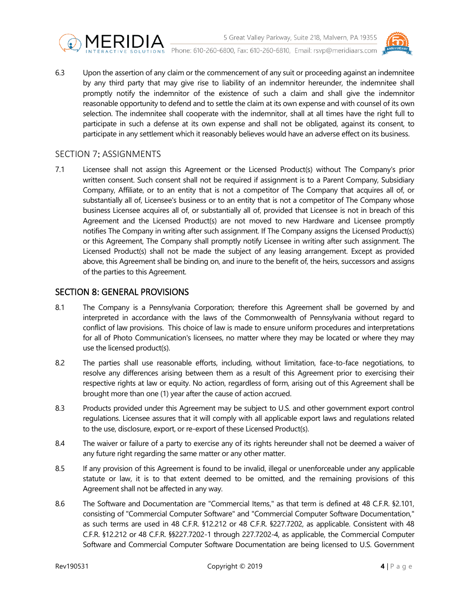

s Phone: 610-260-6800, Fax: 610-260-6810, Email: rsvp@meridiaars.com



6.3 Upon the assertion of any claim or the commencement of any suit or proceeding against an indemnitee by any third party that may give rise to liability of an indemnitor hereunder, the indemnitee shall promptly notify the indemnitor of the existence of such a claim and shall give the indemnitor reasonable opportunity to defend and to settle the claim at its own expense and with counsel of its own selection. The indemnitee shall cooperate with the indemnitor, shall at all times have the right full to participate in such a defense at its own expense and shall not be obligated, against its consent, to participate in any settlement which it reasonably believes would have an adverse effect on its business.

#### SECTION 7: ASSIGNMENTS

7.1 Licensee shall not assign this Agreement or the Licensed Product(s) without The Company's prior written consent. Such consent shall not be required if assignment is to a Parent Company, Subsidiary Company, Affiliate, or to an entity that is not a competitor of The Company that acquires all of, or substantially all of, Licensee's business or to an entity that is not a competitor of The Company whose business Licensee acquires all of, or substantially all of, provided that Licensee is not in breach of this Agreement and the Licensed Product(s) are not moved to new Hardware and Licensee promptly notifies The Company in writing after such assignment. If The Company assigns the Licensed Product(s) or this Agreement, The Company shall promptly notify Licensee in writing after such assignment. The Licensed Product(s) shall not be made the subject of any leasing arrangement. Except as provided above, this Agreement shall be binding on, and inure to the benefit of, the heirs, successors and assigns of the parties to this Agreement.

## SECTION 8: GENERAL PROVISIONS

- 8.1 The Company is a Pennsylvania Corporation; therefore this Agreement shall be governed by and interpreted in accordance with the laws of the Commonwealth of Pennsylvania without regard to conflict of law provisions. This choice of law is made to ensure uniform procedures and interpretations for all of Photo Communication's licensees, no matter where they may be located or where they may use the licensed product(s).
- 8.2 The parties shall use reasonable efforts, including, without limitation, face-to-face negotiations, to resolve any differences arising between them as a result of this Agreement prior to exercising their respective rights at law or equity. No action, regardless of form, arising out of this Agreement shall be brought more than one (1) year after the cause of action accrued.
- 8.3 Products provided under this Agreement may be subject to U.S. and other government export control regulations. Licensee assures that it will comply with all applicable export laws and regulations related to the use, disclosure, export, or re-export of these Licensed Product(s).
- 8.4 The waiver or failure of a party to exercise any of its rights hereunder shall not be deemed a waiver of any future right regarding the same matter or any other matter.
- 8.5 If any provision of this Agreement is found to be invalid, illegal or unenforceable under any applicable statute or law, it is to that extent deemed to be omitted, and the remaining provisions of this Agreement shall not be affected in any way.
- 8.6 The Software and Documentation are "Commercial Items," as that term is defined at 48 C.F.R. §2.101, consisting of "Commercial Computer Software" and "Commercial Computer Software Documentation," as such terms are used in 48 C.F.R. §12.212 or 48 C.F.R. §227.7202, as applicable. Consistent with 48 C.F.R. §12.212 or 48 C.F.R. §§227.7202-1 through 227.7202-4, as applicable, the Commercial Computer Software and Commercial Computer Software Documentation are being licensed to U.S. Government